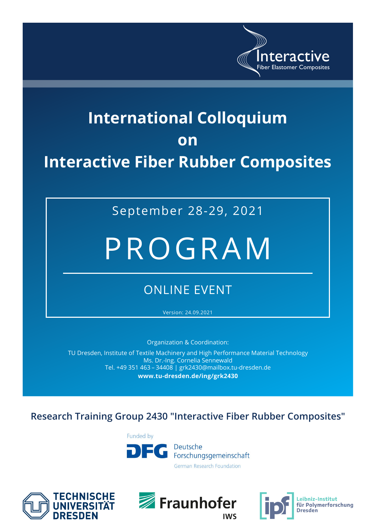

## **International Colloquium on Interactive Fiber Rubber Composites**

September 28-29, 2021

# PROGRAM

### ONLINE EVENT

Version: 24.09.2021

Organization & Coordination:

TU Dresden, Institute of Textile Machinery and High Performance Material Technology Ms. Dr.-Ing. Cornelia Sennewald Tel. +49 351 463 – 34408 | grk2430@mailbox.tu-dresden.de **www.tu-dresden.de/ing/grk2430**

#### **Research Training Group 2430 "Interactive Fiber Rubber Composites"**







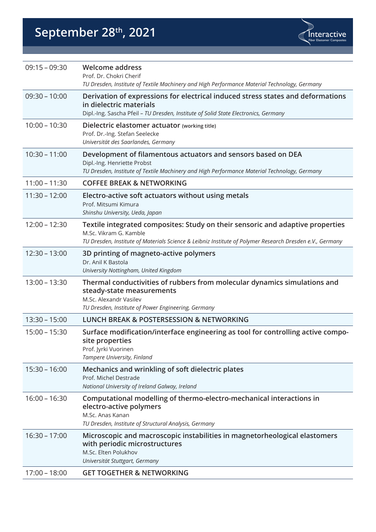## September 28<sup>th</sup>, 2021



| $09:15 - 09:30$ | <b>Welcome address</b><br>Prof. Dr. Chokri Cherif<br>TU Dresden, Institute of Textile Machinery and High Performance Material Technology, Germany                                                                    |
|-----------------|----------------------------------------------------------------------------------------------------------------------------------------------------------------------------------------------------------------------|
| $09:30 - 10:00$ | Derivation of expressions for electrical induced stress states and deformations<br>in dielectric materials<br>Dipl.-Ing. Sascha Pfeil - TU Dresden, Institute of Solid State Electronics, Germany                    |
| $10:00 - 10:30$ | Dielectric elastomer actuator (working title)<br>Prof. Dr.-Ing. Stefan Seelecke<br>Universität des Saarlandes, Germany                                                                                               |
| $10:30 - 11:00$ | Development of filamentous actuators and sensors based on DEA<br>Dipl.-Ing. Henriette Probst<br>TU Dresden, Institute of Textile Machinery and High Performance Material Technology, Germany                         |
| $11:00 - 11:30$ | <b>COFFEE BREAK &amp; NETWORKING</b>                                                                                                                                                                                 |
| $11:30 - 12:00$ | Electro-active soft actuators without using metals<br>Prof. Mitsumi Kimura<br>Shinshu University, Ueda, Japan                                                                                                        |
| $12:00 - 12:30$ | Textile integrated composites: Study on their sensoric and adaptive properties<br>M.Sc. Vikram G. Kamble<br>TU Dresden, Institute of Materials Science & Leibniz Institute of Polymer Research Dresden e.V., Germany |
| $12:30 - 13:00$ | 3D printing of magneto-active polymers<br>Dr. Anil K Bastola<br>University Nottingham, United Kingdom                                                                                                                |
| $13:00 - 13:30$ | Thermal conductivities of rubbers from molecular dynamics simulations and<br>steady-state measurements<br>M.Sc. Alexandr Vasilev<br>TU Dresden, Institute of Power Engineering, Germany                              |
| $13:30 - 15:00$ | <b>LUNCH BREAK &amp; POSTERSESSION &amp; NETWORKING</b>                                                                                                                                                              |
| $15:00 - 15:30$ | Surface modification/interface engineering as tool for controlling active compo-<br>site properties<br>Prof. Jyrki Vuorinen<br>Tampere University, Finland                                                           |
| $15:30 - 16:00$ | Mechanics and wrinkling of soft dielectric plates<br>Prof. Michel Destrade<br>National University of Ireland Galway, Ireland                                                                                         |
| $16:00 - 16:30$ | Computational modelling of thermo-electro-mechanical interactions in<br>electro-active polymers<br>M.Sc. Anas Kanan<br>TU Dresden, Institute of Structural Analysis, Germany                                         |
| $16:30 - 17:00$ | Microscopic and macroscopic instabilities in magnetorheological elastomers<br>with periodic microstructures<br>M.Sc. Elten Polukhov<br>Universität Stuttgart, Germany                                                |
| $17:00 - 18:00$ | <b>GET TOGETHER &amp; NETWORKING</b>                                                                                                                                                                                 |